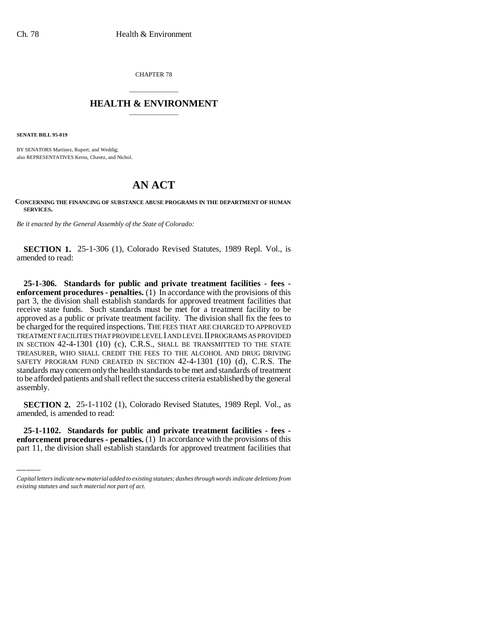CHAPTER 78

## \_\_\_\_\_\_\_\_\_\_\_\_\_\_\_ **HEALTH & ENVIRONMENT** \_\_\_\_\_\_\_\_\_\_\_\_\_\_\_

**SENATE BILL 95-019**

BY SENATORS Martinez, Rupert, and Weddig; also REPRESENTATIVES Kerns, Chavez, and Nichol.

## **AN ACT**

**CONCERNING THE FINANCING OF SUBSTANCE ABUSE PROGRAMS IN THE DEPARTMENT OF HUMAN SERVICES.**

*Be it enacted by the General Assembly of the State of Colorado:*

**SECTION 1.** 25-1-306 (1), Colorado Revised Statutes, 1989 Repl. Vol., is amended to read:

**25-1-306. Standards for public and private treatment facilities - fees enforcement procedures - penalties.** (1) In accordance with the provisions of this part 3, the division shall establish standards for approved treatment facilities that receive state funds. Such standards must be met for a treatment facility to be approved as a public or private treatment facility. The division shall fix the fees to be charged for the required inspections. THE FEES THAT ARE CHARGED TO APPROVED TREATMENT FACILITIES THAT PROVIDE LEVEL I AND LEVEL II PROGRAMS AS PROVIDED IN SECTION 42-4-1301 (10) (c), C.R.S., SHALL BE TRANSMITTED TO THE STATE TREASURER, WHO SHALL CREDIT THE FEES TO THE ALCOHOL AND DRUG DRIVING SAFETY PROGRAM FUND CREATED IN SECTION 42-4-1301 (10) (d), C.R.S. The standards may concern only the health standards to be met and standards of treatment to be afforded patients and shall reflect the success criteria established by the general assembly.

 $\frac{1}{2}$ amended, is amended to read: **SECTION 2.** 25-1-1102 (1), Colorado Revised Statutes, 1989 Repl. Vol., as

**25-1-1102. Standards for public and private treatment facilities - fees enforcement procedures - penalties.** (1) In accordance with the provisions of this part 11, the division shall establish standards for approved treatment facilities that

*Capital letters indicate new material added to existing statutes; dashes through words indicate deletions from existing statutes and such material not part of act.*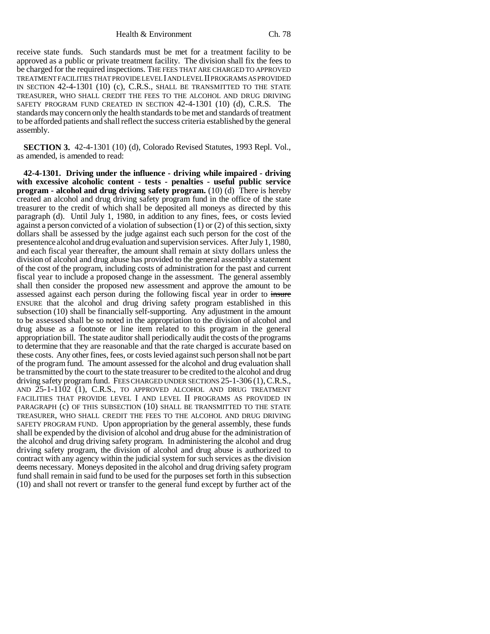Health & Environment Ch. 78

receive state funds. Such standards must be met for a treatment facility to be approved as a public or private treatment facility. The division shall fix the fees to be charged for the required inspections. THE FEES THAT ARE CHARGED TO APPROVED TREATMENT FACILITIES THAT PROVIDE LEVEL I AND LEVEL II PROGRAMS AS PROVIDED IN SECTION 42-4-1301 (10) (c), C.R.S., SHALL BE TRANSMITTED TO THE STATE TREASURER, WHO SHALL CREDIT THE FEES TO THE ALCOHOL AND DRUG DRIVING SAFETY PROGRAM FUND CREATED IN SECTION 42-4-1301 (10) (d), C.R.S. The standards may concern only the health standards to be met and standards of treatment to be afforded patients and shall reflect the success criteria established by the general assembly.

**SECTION 3.** 42-4-1301 (10) (d), Colorado Revised Statutes, 1993 Repl. Vol., as amended, is amended to read:

**42-4-1301. Driving under the influence - driving while impaired - driving with excessive alcoholic content - tests - penalties - useful public service program - alcohol and drug driving safety program.** (10) (d) There is hereby created an alcohol and drug driving safety program fund in the office of the state treasurer to the credit of which shall be deposited all moneys as directed by this paragraph (d). Until July 1, 1980, in addition to any fines, fees, or costs levied against a person convicted of a violation of subsection (1) or (2) of this section, sixty dollars shall be assessed by the judge against each such person for the cost of the presentence alcohol and drug evaluation and supervision services. After July 1, 1980, and each fiscal year thereafter, the amount shall remain at sixty dollars unless the division of alcohol and drug abuse has provided to the general assembly a statement of the cost of the program, including costs of administration for the past and current fiscal year to include a proposed change in the assessment. The general assembly shall then consider the proposed new assessment and approve the amount to be assessed against each person during the following fiscal year in order to insure ENSURE that the alcohol and drug driving safety program established in this subsection (10) shall be financially self-supporting. Any adjustment in the amount to be assessed shall be so noted in the appropriation to the division of alcohol and drug abuse as a footnote or line item related to this program in the general appropriation bill. The state auditor shall periodically audit the costs of the programs to determine that they are reasonable and that the rate charged is accurate based on these costs. Any other fines, fees, or costs levied against such person shall not be part of the program fund. The amount assessed for the alcohol and drug evaluation shall be transmitted by the court to the state treasurer to be credited to the alcohol and drug driving safety program fund. FEES CHARGED UNDER SECTIONS 25-1-306 (1), C.R.S., AND 25-1-1102 (1), C.R.S., TO APPROVED ALCOHOL AND DRUG TREATMENT FACILITIES THAT PROVIDE LEVEL I AND LEVEL II PROGRAMS AS PROVIDED IN PARAGRAPH (c) OF THIS SUBSECTION (10) SHALL BE TRANSMITTED TO THE STATE TREASURER, WHO SHALL CREDIT THE FEES TO THE ALCOHOL AND DRUG DRIVING SAFETY PROGRAM FUND. Upon appropriation by the general assembly, these funds shall be expended by the division of alcohol and drug abuse for the administration of the alcohol and drug driving safety program. In administering the alcohol and drug driving safety program, the division of alcohol and drug abuse is authorized to contract with any agency within the judicial system for such services as the division deems necessary. Moneys deposited in the alcohol and drug driving safety program fund shall remain in said fund to be used for the purposes set forth in this subsection (10) and shall not revert or transfer to the general fund except by further act of the